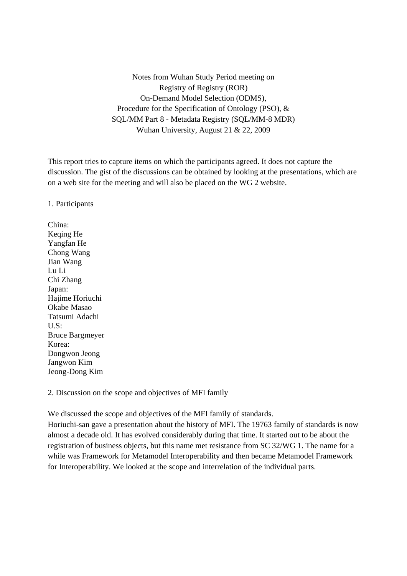Notes from Wuhan Study Period meeting on Registry of Registry (ROR) On-Demand Model Selection (ODMS), Procedure for the Specification of Ontology (PSO), & SQL/MM Part 8 - Metadata Registry (SQL/MM-8 MDR) Wuhan University, August 21 & 22, 2009

This report tries to capture items on which the participants agreed. It does not capture the discussion. The gist of the discussions can be obtained by looking at the presentations, which are on a web site for the meeting and will also be placed on the WG 2 website.

1. Participants

China: Keqing He Yangfan He Chong Wang Jian Wang Lu Li Chi Zhang Japan: Hajime Horiuchi Okabe Masao Tatsumi Adachi U.S: Bruce Bargmeyer Korea: Dongwon Jeong Jangwon Kim Jeong-Dong Kim

2. Discussion on the scope and objectives of MFI family

We discussed the scope and objectives of the MFI family of standards.

Horiuchi-san gave a presentation about the history of MFI. The 19763 family of standards is now almost a decade old. It has evolved considerably during that time. It started out to be about the registration of business objects, but this name met resistance from SC 32/WG 1. The name for a while was Framework for Metamodel Interoperability and then became Metamodel Framework for Interoperability. We looked at the scope and interrelation of the individual parts.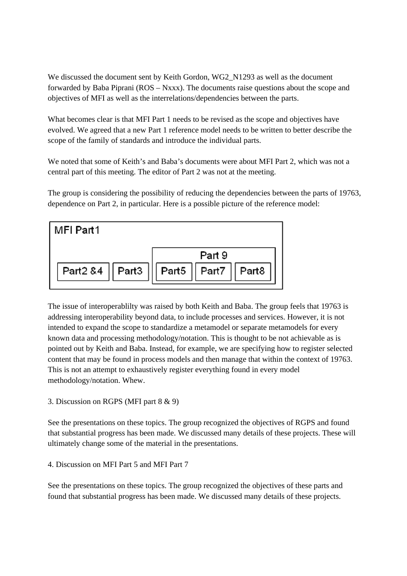We discussed the document sent by Keith Gordon, WG2\_N1293 as well as the document forwarded by Baba Piprani (ROS – Nxxx). The documents raise questions about the scope and objectives of MFI as well as the interrelations/dependencies between the parts.

What becomes clear is that MFI Part 1 needs to be revised as the scope and objectives have evolved. We agreed that a new Part 1 reference model needs to be written to better describe the scope of the family of standards and introduce the individual parts.

We noted that some of Keith's and Baba's documents were about MFI Part 2, which was not a central part of this meeting. The editor of Part 2 was not at the meeting.

The group is considering the possibility of reducing the dependencies between the parts of 19763, dependence on Part 2, in particular. Here is a possible picture of the reference model:



The issue of interoperablilty was raised by both Keith and Baba. The group feels that 19763 is addressing interoperability beyond data, to include processes and services. However, it is not intended to expand the scope to standardize a metamodel or separate metamodels for every known data and processing methodology/notation. This is thought to be not achievable as is pointed out by Keith and Baba. Instead, for example, we are specifying how to register selected content that may be found in process models and then manage that within the context of 19763. This is not an attempt to exhaustively register everything found in every model methodology/notation. Whew.

## 3. Discussion on RGPS (MFI part 8 & 9)

See the presentations on these topics. The group recognized the objectives of RGPS and found that substantial progress has been made. We discussed many details of these projects. These will ultimately change some of the material in the presentations.

## 4. Discussion on MFI Part 5 and MFI Part 7

See the presentations on these topics. The group recognized the objectives of these parts and found that substantial progress has been made. We discussed many details of these projects.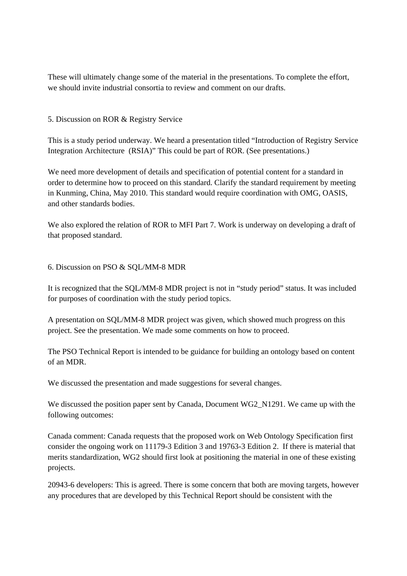These will ultimately change some of the material in the presentations. To complete the effort, we should invite industrial consortia to review and comment on our drafts.

5. Discussion on ROR & Registry Service

This is a study period underway. We heard a presentation titled "Introduction of Registry Service Integration Architecture (RSIA)" This could be part of ROR. (See presentations.)

We need more development of details and specification of potential content for a standard in order to determine how to proceed on this standard. Clarify the standard requirement by meeting in Kunming, China, May 2010. This standard would require coordination with OMG, OASIS, and other standards bodies.

We also explored the relation of ROR to MFI Part 7. Work is underway on developing a draft of that proposed standard.

6. Discussion on PSO & SQL/MM-8 MDR

It is recognized that the SQL/MM-8 MDR project is not in "study period" status. It was included for purposes of coordination with the study period topics.

A presentation on SQL/MM-8 MDR project was given, which showed much progress on this project. See the presentation. We made some comments on how to proceed.

The PSO Technical Report is intended to be guidance for building an ontology based on content of an MDR.

We discussed the presentation and made suggestions for several changes.

We discussed the position paper sent by Canada, Document WG2\_N1291. We came up with the following outcomes:

Canada comment: Canada requests that the proposed work on Web Ontology Specification first consider the ongoing work on 11179-3 Edition 3 and 19763-3 Edition 2. If there is material that merits standardization, WG2 should first look at positioning the material in one of these existing projects.

20943-6 developers: This is agreed. There is some concern that both are moving targets, however any procedures that are developed by this Technical Report should be consistent with the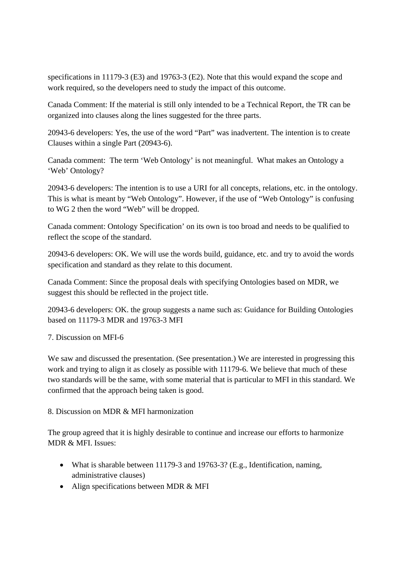specifications in 11179-3 (E3) and 19763-3 (E2). Note that this would expand the scope and work required, so the developers need to study the impact of this outcome.

Canada Comment: If the material is still only intended to be a Technical Report, the TR can be organized into clauses along the lines suggested for the three parts.

20943-6 developers: Yes, the use of the word "Part" was inadvertent. The intention is to create Clauses within a single Part (20943-6).

Canada comment: The term 'Web Ontology' is not meaningful. What makes an Ontology a 'Web' Ontology?

20943-6 developers: The intention is to use a URI for all concepts, relations, etc. in the ontology. This is what is meant by "Web Ontology". However, if the use of "Web Ontology" is confusing to WG 2 then the word "Web" will be dropped.

Canada comment: Ontology Specification' on its own is too broad and needs to be qualified to reflect the scope of the standard.

20943-6 developers: OK. We will use the words build, guidance, etc. and try to avoid the words specification and standard as they relate to this document.

Canada Comment: Since the proposal deals with specifying Ontologies based on MDR, we suggest this should be reflected in the project title.

20943-6 developers: OK. the group suggests a name such as: Guidance for Building Ontologies based on 11179-3 MDR and 19763-3 MFI

7. Discussion on MFI-6

We saw and discussed the presentation. (See presentation.) We are interested in progressing this work and trying to align it as closely as possible with 11179-6. We believe that much of these two standards will be the same, with some material that is particular to MFI in this standard. We confirmed that the approach being taken is good.

8. Discussion on MDR & MFI harmonization

The group agreed that it is highly desirable to continue and increase our efforts to harmonize MDR & MFI. Issues:

- What is sharable between 11179-3 and 19763-3? (E.g., Identification, naming, administrative clauses)
- Align specifications between MDR & MFI